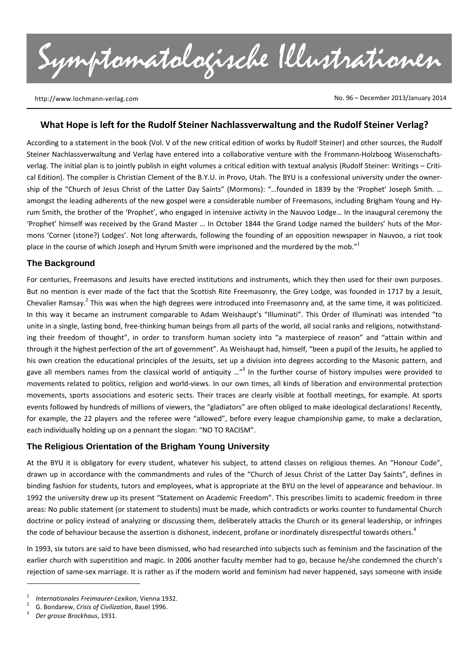Symptomatologische Illustrationen

http://www.lochmann‐verlag.com

No. 96 – December 2013/January 2014

#### **What Hope is left for the Rudolf Steiner Nachlassverwaltung and the Rudolf Steiner Verlag?**

According to a statement in the book (Vol. V of the new critical edition of works by Rudolf Steiner) and other sources, the Rudolf Steiner Nachlassverwaltung and Verlag have entered into a collaborative venture with the Frommann-Holzboog Wissenschaftsverlag. The initial plan is to jointly publish in eight volumes a critical edition with textual analysis (Rudolf Steiner: Writings – Criti‐ cal Edition). The compiler is Christian Clement of the B.Y.U. in Provo, Utah. The BYU is a confessional university under the owner‐ ship of the "Church of Jesus Christ of the Latter Day Saints" (Mormons): "…founded in 1839 by the 'Prophet' Joseph Smith. … amongst the leading adherents of the new gospel were a considerable number of Freemasons, including Brigham Young and Hy‐ rum Smith, the brother of the 'Prophet', who engaged in intensive activity in the Nauvoo Lodge… In the inaugural ceremony the 'Prophet' himself was received by the Grand Master … In October 1844 the Grand Lodge named the builders' huts of the Mor‐ mons 'Corner (stone?) Lodges'. Not long afterwards, following the founding of an opposition newspaper in Nauvoo, a riot took place in the course of which Joseph and Hyrum Smith were imprisoned and the murdered by the mob."<sup>1</sup>

### **The Background**

For centuries, Freemasons and Jesuits have erected institutions and instruments, which they then used for their own purposes. But no mention is ever made of the fact that the Scottish Rite Freemasonry, the Grey Lodge, was founded in 1717 by a Jesuit, Chevalier Ramsay.<sup>2</sup> This was when the high degrees were introduced into Freemasonry and, at the same time, it was politicized. In this way it became an instrument comparable to Adam Weishaupt's "Illuminati". This Order of Illuminati was intended "to unite in a single, lasting bond, free‐thinking human beings from all parts of the world, all social ranks and religions, notwithstand‐ ing their freedom of thought", in order to transform human society into "a masterpiece of reason" and "attain within and through it the highest perfection of the art of government". As Weishaupt had, himself, "been a pupil of the Jesuits, he applied to his own creation the educational principles of the Jesuits, set up a division into degrees according to the Masonic pattern, and gave all members names from the classical world of antiquity ..."<sup>3</sup> In the further course of history impulses were provided to movements related to politics, religion and world‐views. In our own times, all kinds of liberation and environmental protection movements, sports associations and esoteric sects. Their traces are clearly visible at football meetings, for example. At sports events followed by hundreds of millions of viewers, the "gladiators" are often obliged to make ideological declarations! Recently, for example, the 22 players and the referee were "allowed", before every league championship game, to make a declaration, each individually holding up on a pennant the slogan: "NO TO RACISM".

# **The Religious Orientation of the Brigham Young University**

At the BYU it is obligatory for every student, whatever his subject, to attend classes on religious themes. An "Honour Code", drawn up in accordance with the commandments and rules of the "Church of Jesus Christ of the Latter Day Saints", defines in binding fashion for students, tutors and employees, what is appropriate at the BYU on the level of appearance and behaviour. In 1992 the university drew up its present "Statement on Academic Freedom". This prescribes limits to academic freedom in three areas: No public statement (or statement to students) must be made, which contradicts or works counter to fundamental Church doctrine or policy instead of analyzing or discussing them, deliberately attacks the Church or its general leadership, or infringes the code of behaviour because the assertion is dishonest, indecent, profane or inordinately disrespectful towards others.<sup>4</sup>

In 1993, six tutors are said to have been dismissed, who had researched into subjects such as feminism and the fascination of the earlier church with superstition and magic. In 2006 another faculty member had to go, because he/she condemned the church's rejection of same‐sex marriage. It is rather as if the modern world and feminism had never happened, says someone with inside

 $\overline{a}$ 

<sup>1</sup> *Internationales Freimaurer-Lexikon, Vienna 1932.* 

 G. Bondarew, *Crisis of Civilization*, Basel 1996. <sup>3</sup>

 *Der grosse Brockhaus*, 1931.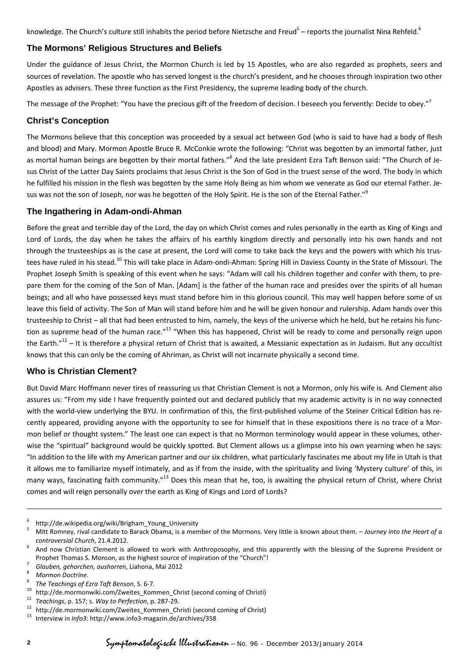knowledge. The Church's culture still inhabits the period before Nietzsche and Freud<sup>5</sup> – reports the journalist Nina Rehfeld.<sup>6</sup>

# **The Mormons' Religious Structures and Beliefs**

Under the guidance of Jesus Christ, the Mormon Church is led by 15 Apostles, who are also regarded as prophets, seers and sources of revelation. The apostle who has served longest is the church's president, and he chooses through inspiration two other Apostles as advisers. These three function as the First Presidency, the supreme leading body of the church.

The message of the Prophet: "You have the precious gift of the freedom of decision. I beseech you fervently: Decide to obey."<sup>7</sup>

### **Christ's Conception**

The Mormons believe that this conception was proceeded by a sexual act between God (who is said to have had a body of flesh and blood) and Mary. Mormon Apostle Bruce R. McConkie wrote the following: "Christ was begotten by an immortal father, just as mortal human beings are begotten by their mortal fathers."<sup>8</sup> And the late president Ezra Taft Benson said: "The Church of Jesus Christ of the Latter Day Saints proclaims that Jesus Christ is the Son of God in the truest sense of the word. The body in which he fulfilled his mission in the flesh was begotten by the same Holy Being as him whom we venerate as God our eternal Father. Jesus was not the son of Joseph, nor was he begotten of the Holy Spirit. He is the son of the Eternal Father."<sup>9</sup>

### **The Ingathering in Adam-ondi-Ahman**

Before the great and terrible day of the Lord, the day on which Christ comes and rules personally in the earth as King of Kings and Lord of Lords, the day when he takes the affairs of his earthly kingdom directly and personally into his own hands and not through the trusteeships as is the case at present, the Lord will come to take back the keys and the powers with which his trus‐ tees have ruled in his stead.<sup>10</sup> This will take place in Adam-ondi-Ahman: Spring Hill in Daviess County in the State of Missouri. The Prophet Joseph Smith is speaking of this event when he says: "Adam will call his children together and confer with them, to pre‐ pare them for the coming of the Son of Man. [Adam] is the father of the human race and presides over the spirits of all human beings; and all who have possessed keys must stand before him in this glorious council. This may well happen before some of us leave this field of activity. The Son of Man will stand before him and he will be given honour and rulership. Adam hands over this trusteeship to Christ – all that had been entrusted to him, namely, the keys of the universe which he held, but he retains his func‐ tion as supreme head of the human race."<sup>11</sup> "When this has happened, Christ will be ready to come and personally reign upon the Earth."<sup>12</sup> – It is therefore a physical return of Christ that is awaited, a Messianic expectation as in Judaism. But any occultist knows that this can only be the coming of Ahriman, as Christ will not incarnate physically a second time.

# **Who is Christian Clement?**

But David Marc Hoffmann never tires of reassuring us that Christian Clement is not a Mormon, only his wife is. And Clement also assures us: "From my side I have frequently pointed out and declared publicly that my academic activity is in no way connected with the world-view underlying the BYU. In confirmation of this, the first-published volume of the Steiner Critical Edition has recently appeared, providing anyone with the opportunity to see for himself that in these expositions there is no trace of a Mor‐ mon belief or thought system." The least one can expect is that no Mormon terminology would appear in these volumes, otherwise the "spiritual" background would be quickly spotted. But Clement allows us a glimpse into his own yearning when he says: "In addition to the life with my American partner and our six children, what particularly fascinates me about my life in Utah is that it allows me to familiarize myself intimately, and as if from the inside, with the spirituality and living 'Mystery culture' of this, in many ways, fascinating faith community."<sup>13</sup> Does this mean that he, too, is awaiting the physical return of Christ, where Christ comes and will reign personally over the earth as King of Kings and Lord of Lords?

 $\overline{a}$ 

<sup>4</sup> <sup>4</sup> http://de.wikipedia.org/wiki/Brigham\_Young\_University  $\frac{5}{2}$  Mitt Bompov rivel condidate to Barack Obama is a mon

 Mitt Romney, rival candidate to Barack Obama, is a member of the Mormons. Very little is known about them. – *Journey into the Heart of a controversial Church*, 21.4.2012.

 And now Christian Clement is allowed to work with Anthroposophy, and this apparently with the blessing of the Supreme President or Prophet Thomas S. Monson, as the highest source of inspiration of the "Church"!

 *Glauben, gehorchen, ausharren*, Liahona, Mai <sup>2012</sup> <sup>8</sup>

<sup>&</sup>lt;sup>8</sup> Mormon Doctrine.<br><sup>9</sup> The Teachings of Ezra Taft Benson, S. 6-7.

<sup>&</sup>lt;sup>10</sup> http://de.mormonwiki.com/Zweites\_Kommen\_Christ (second coming of Christi)<br><sup>11</sup> Teachings, p. 157; s. *Way to Perfection*, p. 287-29.<br><sup>12</sup> http://de.mormonwiki.com/Zweites\_Kommen\_Christi (second coming of Christ)<br><sup>13</sup>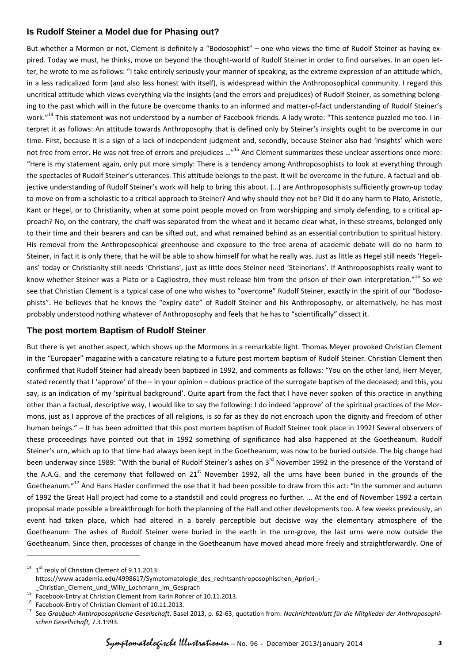### **Is Rudolf Steiner a Model due for Phasing out?**

But whether a Mormon or not, Clement is definitely a "Bodosophist" – one who views the time of Rudolf Steiner as having ex‐ pired. Today we must, he thinks, move on beyond the thought-world of Rudolf Steiner in order to find ourselves. In an open letter, he wrote to me as follows: "I take entirely seriously your manner of speaking, as the extreme expression of an attitude which, in a less radicalized form (and also less honest with itself), is widespread within the Anthroposophical community. I regard this uncritical attitude which views everything via the insights (and the errors and prejudices) of Rudolf Steiner, as something belong‐ ing to the past which will in the future be overcome thanks to an informed and matter‐of‐fact understanding of Rudolf Steiner's work."<sup>14</sup> This statement was not understood by a number of Facebook friends. A lady wrote: "This sentence puzzled me too. I interpret it as follows: An attitude towards Anthroposophy that is defined only by Steiner's insights ought to be overcome in our time. First, because it is a sign of a lack of independent judgment and, secondly, because Steiner also had 'insights' which were not free from error. He was not free of errors and prejudices ..."<sup>15</sup> And Clement summarizes these unclear assertions once more: "Here is my statement again, only put more simply: There is a tendency among Anthroposophists to look at everything through the spectacles of Rudolf Steiner's utterances. This attitude belongs to the past. It will be overcome in the future. A factual and ob‐ jective understanding of Rudolf Steiner's work will help to bring this about. (…) are Anthroposophists sufficiently grown‐up today to move on from a scholastic to a critical approach to Steiner? And why should they not be? Did it do any harm to Plato, Aristotle, Kant or Hegel, or to Christianity, when at some point people moved on from worshipping and simply defending, to a critical approach? No, on the contrary, the chaff was separated from the wheat and it became clear what, in these streams, belonged only to their time and their bearers and can be sifted out, and what remained behind as an essential contribution to spiritual history. His removal from the Anthroposophical greenhouse and exposure to the free arena of academic debate will do no harm to Steiner, in fact it is only there, that he will be able to show himself for what he really was. Just as little as Hegel still needs 'Hegelians' today or Christianity still needs 'Christians', just as little does Steiner need 'Steinerians'. If Anthroposophists really want to know whether Steiner was a Plato or a Cagliostro, they must release him from the prison of their own interpretation."<sup>16</sup> So we see that Christian Clement is a typical case of one who wishes to "overcome" Rudolf Steiner, exactly in the spirit of our "Bodosophists". He believes that he knows the "expiry date" of Rudolf Steiner and his Anthroposophy, or alternatively, he has most probably understood nothing whatever of Anthroposophy and feels that he has to "scientifically" dissect it.

# **The post mortem Baptism of Rudolf Steiner**

But there is yet another aspect, which shows up the Mormons in a remarkable light. Thomas Meyer provoked Christian Clement in the "Europäer" magazine with a caricature relating to a future post mortem baptism of Rudolf Steiner. Christian Clement then confirmed that Rudolf Steiner had already been baptized in 1992, and comments as follows: "You on the other land, Herr Meyer, stated recently that I 'approve' of the – in your opinion – dubious practice of the surrogate baptism of the deceased; and this, you say, is an indication of my 'spiritual background'. Quite apart from the fact that I have never spoken of this practice in anything other than a factual, descriptive way, I would like to say the following: I do indeed 'approve' of the spiritual practices of the Mor‐ mons, just as I approve of the practices of all religions, is so far as they do not encroach upon the dignity and freedom of other human beings." – It has been admitted that this post mortem baptism of Rudolf Steiner took place in 1992! Several observers of these proceedings have pointed out that in 1992 something of significance had also happened at the Goetheanum. Rudolf Steiner's urn, which up to that time had always been kept in the Goetheanum, was now to be buried outside. The big change had been underway since 1989: "With the burial of Rudolf Steiner's ashes on 3<sup>rd</sup> November 1992 in the presence of the Vorstand of the A.A.G. and the ceremony that followed on 21<sup>st</sup> November 1992, all the urns have been buried in the grounds of the Goetheanum."<sup>17</sup> And Hans Hasler confirmed the use that it had been possible to draw from this act: "In the summer and autumn of 1992 the Great Hall project had come to a standstill and could progress no further. … At the end of November 1992 a certain proposal made possible a breakthrough for both the planning of the Hall and other developments too. A few weeks previously, an event had taken place, which had altered in a barely perceptible but decisive way the elementary atmosphere of the Goetheanum: The ashes of Rudolf Steiner were buried in the earth in the urn-grove, the last urns were now outside the Goetheanum. Since then, processes of change in the Goetheanum have moved ahead more freely and straightforwardly. One of

 $14$  1<sup>st</sup> reply of Christian Clement of 9.11.2013: https://www.academia.edu/4998617/Symptomatologie\_des\_rechtsanthroposophischen\_Apriori\_-

Christian\_Clement\_und\_Willy\_Lochmann\_im\_Gesprach<br>
<sup>15</sup> Facebook-Entry at Christian Clement from Karin Rohrer of 10.11.2013.<br>
<sup>16</sup> Facebook-Entry of Christian Clement of 10.11.2013.<br>
<sup>17</sup> See Graubuch Anthroposophische Gese *schen Gesellschaft,* 7.3.1993.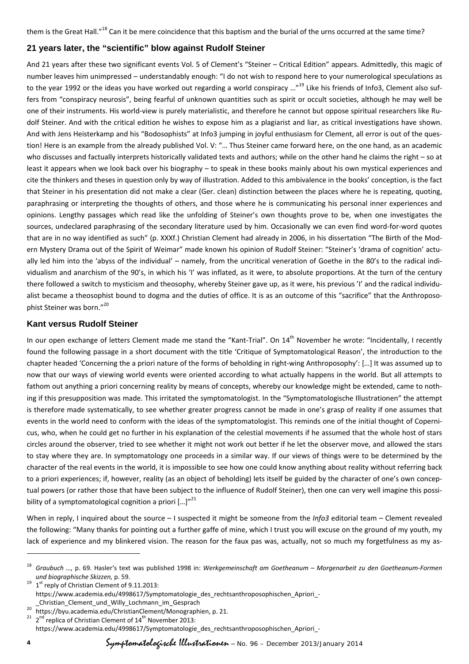them is the Great Hall."<sup>18</sup> Can it be mere coincidence that this baptism and the burial of the urns occurred at the same time?

### **21 years later, the "scientific" blow against Rudolf Steiner**

And 21 years after these two significant events Vol. 5 of Clement's "Steiner – Critical Edition" appears. Admittedly, this magic of number leaves him unimpressed – understandably enough: "I do not wish to respond here to your numerological speculations as to the year 1992 or the ideas you have worked out regarding a world conspiracy …"<sup>19</sup> Like his friends of Info3, Clement also suffers from "conspiracy neurosis", being fearful of unknown quantities such as spirit or occult societies, although he may well be one of their instruments. His world-view is purely materialistic, and therefore he cannot but oppose spiritual researchers like Rudolf Steiner. And with the critical edition he wishes to expose him as a plagiarist and liar, as critical investigations have shown. And with Jens Heisterkamp and his "Bodosophists" at Info3 jumping in joyful enthusiasm for Clement, all error is out of the ques‐ tion! Here is an example from the already published Vol. V: "… Thus Steiner came forward here, on the one hand, as an academic who discusses and factually interprets historically validated texts and authors; while on the other hand he claims the right – so at least it appears when we look back over his biography – to speak in these books mainly about his own mystical experiences and cite the thinkers and theses in question only by way of illustration. Added to this ambivalence in the books' conception, is the fact that Steiner in his presentation did not make a clear (Ger. clean) distinction between the places where he is repeating, quoting, paraphrasing or interpreting the thoughts of others, and those where he is communicating his personal inner experiences and opinions. Lengthy passages which read like the unfolding of Steiner's own thoughts prove to be, when one investigates the sources, undeclared paraphrasing of the secondary literature used by him. Occasionally we can even find word-for-word quotes that are in no way identified as such" (p. XXXf.) Christian Clement had already in 2006, in his dissertation "The Birth of the Mod‐ ern Mystery Drama out of the Spirit of Weimar" made known his opinion of Rudolf Steiner: "Steiner's 'drama of cognition' actually led him into the 'abyss of the individual' – namely, from the uncritical veneration of Goethe in the 80's to the radical individualism and anarchism of the 90's, in which his 'I' was inflated, as it were, to absolute proportions. At the turn of the century there followed a switch to mysticism and theosophy, whereby Steiner gave up, as it were, his previous 'I' and the radical individualist became a theosophist bound to dogma and the duties of office. It is as an outcome of this "sacrifice" that the Anthroposophist Steiner was born."20

### **Kant versus Rudolf Steiner**

In our open exchange of letters Clement made me stand the "Kant-Trial". On 14<sup>th</sup> November he wrote: "Incidentally, I recently found the following passage in a short document with the title 'Critique of Symptomatological Reason', the introduction to the chapter headed 'Concerning the a priori nature of the forms of beholding in right‐wing Anthroposophy': […] It was assumed up to now that our ways of viewing world events were oriented according to what actually happens in the world. But all attempts to fathom out anything a priori concerning reality by means of concepts, whereby our knowledge might be extended, came to nothing if this presupposition was made. This irritated the symptomatologist. In the "Symptomatologische Illustrationen" the attempt is therefore made systematically, to see whether greater progress cannot be made in one's grasp of reality if one assumes that events in the world need to conform with the ideas of the symptomatologist. This reminds one of the initial thought of Copernicus, who, when he could get no further in his explanation of the celestial movements if he assumed that the whole host of stars circles around the observer, tried to see whether it might not work out better if he let the observer move, and allowed the stars to stay where they are. In symptomatology one proceeds in a similar way. If our views of things were to be determined by the character of the real events in the world, it is impossible to see how one could know anything about reality without referring back to a priori experiences; if, however, reality (as an object of beholding) lets itself be guided by the character of one's own conceptual powers (or rather those that have been subject to the influence of Rudolf Steiner), then one can very well imagine this possibility of a symptomatological cognition a priori  $\left[...\right]^{n^{21}}$ 

When in reply, I inquired about the source – I suspected it might be someone from the *Info3* editorial team – Clement revealed the following: "Many thanks for pointing out a further gaffe of mine, which I trust you will excuse on the ground of my youth, my lack of experience and my blinkered vision. The reason for the faux pas was, actually, not so much my forgetfulness as my as-

<sup>18</sup> *Graubuch …,* p. 69. Hasler's text was published 1998 in: *Werkgemeinschaft am Goetheanum – Morgenarbeit zu den Goetheanum‐Formen und biographische Skizzen,* p. 59.<br><sup>19</sup> 1<sup>st</sup> reply of Christian Clement of 9.11.2013:

https://www.academia.edu/4998617/Symptomatologie\_des\_rechtsanthroposophischen\_Apriori\_‐

\_Christian\_Clement\_und\_Willy\_Lochmann\_im\_Gesprach<br>
<sup>20</sup> https://byu.academia.edu/ChristianClement/Monographien, p. 21.<br>
<sup>21</sup> 2<sup>nd</sup> replica of Christian Clement of 14<sup>th</sup> November 2013: https://www.academia.edu/4998617/Symptomatologie\_des\_rechtsanthroposophischen\_Apriori\_-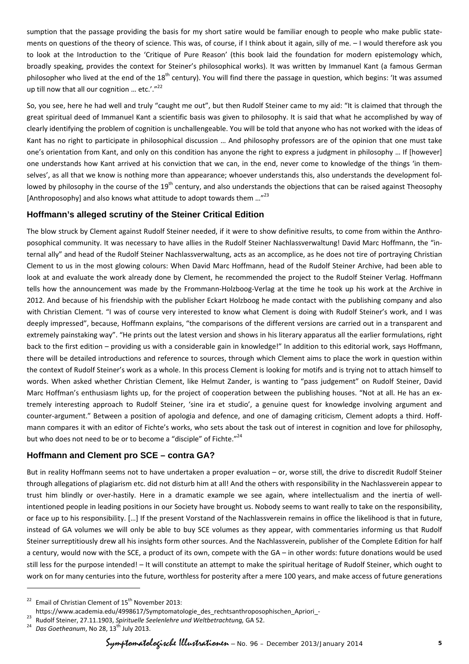sumption that the passage providing the basis for my short satire would be familiar enough to people who make public state‐ ments on questions of the theory of science. This was, of course, if I think about it again, silly of me. – I would therefore ask you to look at the Introduction to the 'Critique of Pure Reason' (this book laid the foundation for modern epistemology which, broadly speaking, provides the context for Steiner's philosophical works). It was written by Immanuel Kant (a famous German philosopher who lived at the end of the  $18<sup>th</sup>$  century). You will find there the passage in question, which begins: 'It was assumed up till now that all our cognition ... etc.'."<sup>22</sup>

So, you see, here he had well and truly "caught me out", but then Rudolf Steiner came to my aid: "It is claimed that through the great spiritual deed of Immanuel Kant a scientific basis was given to philosophy. It is said that what he accomplished by way of clearly identifying the problem of cognition is unchallengeable. You will be told that anyone who has not worked with the ideas of Kant has no right to participate in philosophical discussion … And philosophy professors are of the opinion that one must take one's orientation from Kant, and only on this condition has anyone the right to express a judgment in philosophy … If [however] one understands how Kant arrived at his conviction that we can, in the end, never come to knowledge of the things 'in themselves', as all that we know is nothing more than appearance; whoever understands this, also understands the development followed by philosophy in the course of the 19<sup>th</sup> century, and also understands the objections that can be raised against Theosophy [Anthroposophy] and also knows what attitude to adopt towards them ..."<sup>23</sup>

# **Hoffmann's alleged scrutiny of the Steiner Critical Edition**

The blow struck by Clement against Rudolf Steiner needed, if it were to show definitive results, to come from within the Anthro‐ posophical community. It was necessary to have allies in the Rudolf Steiner Nachlassverwaltung! David Marc Hoffmann, the "internal ally" and head of the Rudolf Steiner Nachlassverwaltung, acts as an accomplice, as he does not tire of portraying Christian Clement to us in the most glowing colours: When David Marc Hoffmann, head of the Rudolf Steiner Archive, had been able to look at and evaluate the work already done by Clement, he recommended the project to the Rudolf Steiner Verlag. Hoffmann tells how the announcement was made by the Frommann-Holzboog-Verlag at the time he took up his work at the Archive in 2012. And because of his friendship with the publisher Eckart Holzboog he made contact with the publishing company and also with Christian Clement. "I was of course very interested to know what Clement is doing with Rudolf Steiner's work, and I was deeply impressed", because, Hoffmann explains, "the comparisons of the different versions are carried out in a transparent and extremely painstaking way". "He prints out the latest version and shows in his literary apparatus all the earlier formulations, right back to the first edition – providing us with a considerable gain in knowledge!" In addition to this editorial work, says Hoffmann, there will be detailed introductions and reference to sources, through which Clement aims to place the work in question within the context of Rudolf Steiner's work as a whole. In this process Clement is looking for motifs and is trying not to attach himself to words. When asked whether Christian Clement, like Helmut Zander, is wanting to "pass judgement" on Rudolf Steiner, David Marc Hoffman's enthusiasm lights up, for the project of cooperation between the publishing houses. "Not at all. He has an ex‐ tremely interesting approach to Rudolf Steiner, 'sine ira et studio', a genuine quest for knowledge involving argument and counter-argument." Between a position of apologia and defence, and one of damaging criticism, Clement adopts a third. Hoffmann compares it with an editor of Fichte's works, who sets about the task out of interest in cognition and love for philosophy, but who does not need to be or to become a "disciple" of Fichte."<sup>24</sup>

# **Hoffmann and Clement pro SCE – contra GA?**

But in reality Hoffmann seems not to have undertaken a proper evaluation – or, worse still, the drive to discredit Rudolf Steiner through allegations of plagiarism etc. did not disturb him at all! And the others with responsibility in the Nachlassverein appear to trust him blindly or over-hastily. Here in a dramatic example we see again, where intellectualism and the inertia of wellintentioned people in leading positions in our Society have brought us. Nobody seems to want really to take on the responsibility, or face up to his responsibility. […] If the present Vorstand of the Nachlassverein remains in office the likelihood is that in future, instead of GA volumes we will only be able to buy SCE volumes as they appear, with commentaries informing us that Rudolf Steiner surreptitiously drew all his insights form other sources. And the Nachlassverein, publisher of the Complete Edition for half a century, would now with the SCE, a product of its own, compete with the GA – in other words: future donations would be used still less for the purpose intended! – It will constitute an attempt to make the spiritual heritage of Rudolf Steiner, which ought to work on for many centuries into the future, worthless for posterity after a mere 100 years, and make access of future generations

Email of Christian Clement of 15<sup>th</sup> November 2013:<br>https://www.academia.edu/4998617/Symptomatologie des rechtsanthroposophischen Apriori -

<sup>&</sup>lt;sup>23</sup> Rudolf Steiner, 27.11.1903, Spirituelle Seelenlehre und Weltbetrachtung, GA 52.<br><sup>24</sup> Das Goetheanum. No 28, 13<sup>th</sup> July 2013.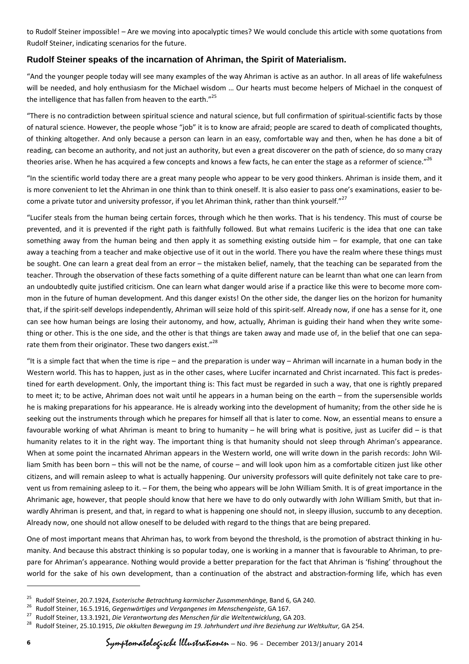to Rudolf Steiner impossible! – Are we moving into apocalyptic times? We would conclude this article with some quotations from Rudolf Steiner, indicating scenarios for the future.

### **Rudolf Steiner speaks of the incarnation of Ahriman, the Spirit of Materialism.**

"And the younger people today will see many examples of the way Ahriman is active as an author. In all areas of life wakefulness will be needed, and holy enthusiasm for the Michael wisdom … Our hearts must become helpers of Michael in the conquest of the intelligence that has fallen from heaven to the earth."<sup>25</sup>

"There is no contradiction between spiritual science and natural science, but full confirmation of spiritual‐scientific facts by those of natural science. However, the people whose "job" it is to know are afraid; people are scared to death of complicated thoughts, of thinking altogether. And only because a person can learn in an easy, comfortable way and then, when he has done a bit of reading, can become an authority, and not just an authority, but even a great discoverer on the path of science, do so many crazy theories arise. When he has acquired a few concepts and knows a few facts, he can enter the stage as a reformer of science."<sup>26</sup>

"In the scientific world today there are a great many people who appear to be very good thinkers. Ahriman is inside them, and it is more convenient to let the Ahriman in one think than to think oneself. It is also easier to pass one's examinations, easier to be‐ come a private tutor and university professor, if you let Ahriman think, rather than think yourself."<sup>27</sup>

"Lucifer steals from the human being certain forces, through which he then works. That is his tendency. This must of course be prevented, and it is prevented if the right path is faithfully followed. But what remains Luciferic is the idea that one can take something away from the human being and then apply it as something existing outside him – for example, that one can take away a teaching from a teacher and make objective use of it out in the world. There you have the realm where these things must be sought. One can learn a great deal from an error – the mistaken belief, namely, that the teaching can be separated from the teacher. Through the observation of these facts something of a quite different nature can be learnt than what one can learn from an undoubtedly quite justified criticism. One can learn what danger would arise if a practice like this were to become more common in the future of human development. And this danger exists! On the other side, the danger lies on the horizon for humanity that, if the spirit‐self develops independently, Ahriman will seize hold of this spirit‐self. Already now, if one has a sense for it, one can see how human beings are losing their autonomy, and how, actually, Ahriman is guiding their hand when they write something or other. This is the one side, and the other is that things are taken away and made use of, in the belief that one can separate them from their originator. These two dangers exist."<sup>28</sup>

"It is a simple fact that when the time is ripe – and the preparation is under way – Ahriman will incarnate in a human body in the Western world. This has to happen, just as in the other cases, where Lucifer incarnated and Christ incarnated. This fact is predestined for earth development. Only, the important thing is: This fact must be regarded in such a way, that one is rightly prepared to meet it; to be active, Ahriman does not wait until he appears in a human being on the earth – from the supersensible worlds he is making preparations for his appearance. He is already working into the development of humanity; from the other side he is seeking out the instruments through which he prepares for himself all that is later to come. Now, an essential means to ensure a favourable working of what Ahriman is meant to bring to humanity – he will bring what is positive, just as Lucifer did – is that humanity relates to it in the right way. The important thing is that humanity should not sleep through Ahriman's appearance. When at some point the incarnated Ahriman appears in the Western world, one will write down in the parish records: John William Smith has been born – this will not be the name, of course – and will look upon him as a comfortable citizen just like other citizens, and will remain asleep to what is actually happening. Our university professors will quite definitely not take care to pre‐ vent us from remaining asleep to it. – For them, the being who appears will be John William Smith. It is of great importance in the Ahrimanic age, however, that people should know that here we have to do only outwardly with John William Smith, but that in‐ wardly Ahriman is present, and that, in regard to what is happening one should not, in sleepy illusion, succumb to any deception. Already now, one should not allow oneself to be deluded with regard to the things that are being prepared.

One of most important means that Ahriman has, to work from beyond the threshold, is the promotion of abstract thinking in hu‐ manity. And because this abstract thinking is so popular today, one is working in a manner that is favourable to Ahriman, to prepare for Ahriman's appearance. Nothing would provide a better preparation for the fact that Ahriman is 'fishing' throughout the world for the sake of his own development, than a continuation of the abstract and abstraction-forming life, which has even

<sup>&</sup>lt;sup>25</sup> Rudolf Steiner, 20.7.1924, *Esoterische Betrachtung karmischer Zusammenhänge,* Band 6, GA 240.<br><sup>26</sup> Rudolf Steiner, 16.5.1916, *Gegenwärtiges und Vergangenes im Menschengeiste*, GA 167.<br><sup>27</sup> Rudolf Steiner, 13.3.1921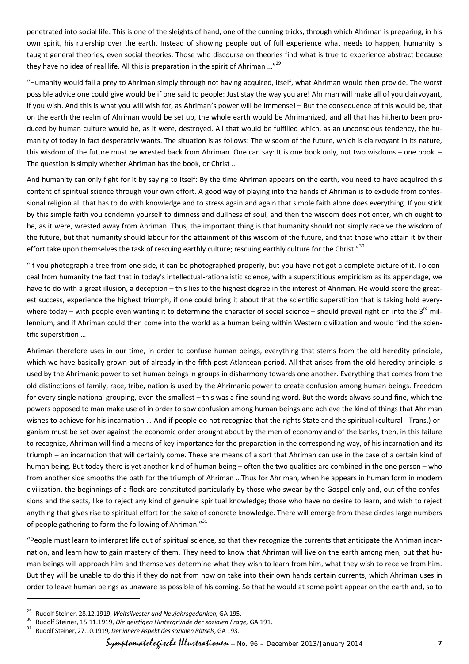penetrated into social life. This is one of the sleights of hand, one of the cunning tricks, through which Ahriman is preparing, in his own spirit, his rulership over the earth. Instead of showing people out of full experience what needs to happen, humanity is taught general theories, even social theories. Those who discourse on theories find what is true to experience abstract because they have no idea of real life. All this is preparation in the spirit of Ahriman ..."<sup>29</sup>

"Humanity would fall a prey to Ahriman simply through not having acquired, itself, what Ahriman would then provide. The worst possible advice one could give would be if one said to people: Just stay the way you are! Ahriman will make all of you clairvoyant, if you wish. And this is what you will wish for, as Ahriman's power will be immense! – But the consequence of this would be, that on the earth the realm of Ahriman would be set up, the whole earth would be Ahrimanized, and all that has hitherto been pro‐ duced by human culture would be, as it were, destroyed. All that would be fulfilled which, as an unconscious tendency, the hu‐ manity of today in fact desperately wants. The situation is as follows: The wisdom of the future, which is clairvoyant in its nature, this wisdom of the future must be wrested back from Ahriman. One can say: It is one book only, not two wisdoms – one book. – The question is simply whether Ahriman has the book, or Christ …

And humanity can only fight for it by saying to itself: By the time Ahriman appears on the earth, you need to have acquired this content of spiritual science through your own effort. A good way of playing into the hands of Ahriman is to exclude from confes‐ sional religion all that has to do with knowledge and to stress again and again that simple faith alone does everything. If you stick by this simple faith you condemn yourself to dimness and dullness of soul, and then the wisdom does not enter, which ought to be, as it were, wrested away from Ahriman. Thus, the important thing is that humanity should not simply receive the wisdom of the future, but that humanity should labour for the attainment of this wisdom of the future, and that those who attain it by their effort take upon themselves the task of rescuing earthly culture; rescuing earthly culture for the Christ."<sup>30</sup>

"If you photograph a tree from one side, it can be photographed properly, but you have not got a complete picture of it. To con‐ ceal from humanity the fact that in today's intellectual‐rationalistic science, with a superstitious empiricism as its appendage, we have to do with a great illusion, a deception – this lies to the highest degree in the interest of Ahriman. He would score the greatest success, experience the highest triumph, if one could bring it about that the scientific superstition that is taking hold everywhere today – with people even wanting it to determine the character of social science – should prevail right on into the  $3^{rd}$  millennium, and if Ahriman could then come into the world as a human being within Western civilization and would find the scientific superstition …

Ahriman therefore uses in our time, in order to confuse human beings, everything that stems from the old heredity principle, which we have basically grown out of already in the fifth post-Atlantean period. All that arises from the old heredity principle is used by the Ahrimanic power to set human beings in groups in disharmony towards one another. Everything that comes from the old distinctions of family, race, tribe, nation is used by the Ahrimanic power to create confusion among human beings. Freedom for every single national grouping, even the smallest – this was a fine-sounding word. But the words always sound fine, which the powers opposed to man make use of in order to sow confusion among human beings and achieve the kind of things that Ahriman wishes to achieve for his incarnation … And if people do not recognize that the rights State and the spiritual (cultural - Trans.) organism must be set over against the economic order brought about by the men of economy and of the banks, then, in this failure to recognize, Ahriman will find a means of key importance for the preparation in the corresponding way, of his incarnation and its triumph – an incarnation that will certainly come. These are means of a sort that Ahriman can use in the case of a certain kind of human being. But today there is yet another kind of human being – often the two qualities are combined in the one person – who from another side smooths the path for the triumph of Ahriman …Thus for Ahriman, when he appears in human form in modern civilization, the beginnings of a flock are constituted particularly by those who swear by the Gospel only and, out of the confes‐ sions and the sects, like to reject any kind of genuine spiritual knowledge; those who have no desire to learn, and wish to reject anything that gives rise to spiritual effort for the sake of concrete knowledge. There will emerge from these circles large numbers of people gathering to form the following of Ahriman."31

"People must learn to interpret life out of spiritual science, so that they recognize the currents that anticipate the Ahriman incar‐ nation, and learn how to gain mastery of them. They need to know that Ahriman will live on the earth among men, but that human beings will approach him and themselves determine what they wish to learn from him, what they wish to receive from him. But they will be unable to do this if they do not from now on take into their own hands certain currents, which Ahriman uses in order to leave human beings as unaware as possible of his coming. So that he would at some point appear on the earth and, so to

 $\overline{a}$ 

<sup>&</sup>lt;sup>29</sup> Rudolf Steiner, 28.12.1919, Weltsilvester und Neujahrsgedanken, GA 195.<br><sup>30</sup> Rudolf Steiner, 15.11.1919, Die geistigen Hintergründe der sozialen Frage, GA 191.<br><sup>31</sup> Rudolf Steiner, 27.10.1919, Der innere Aspekt des s